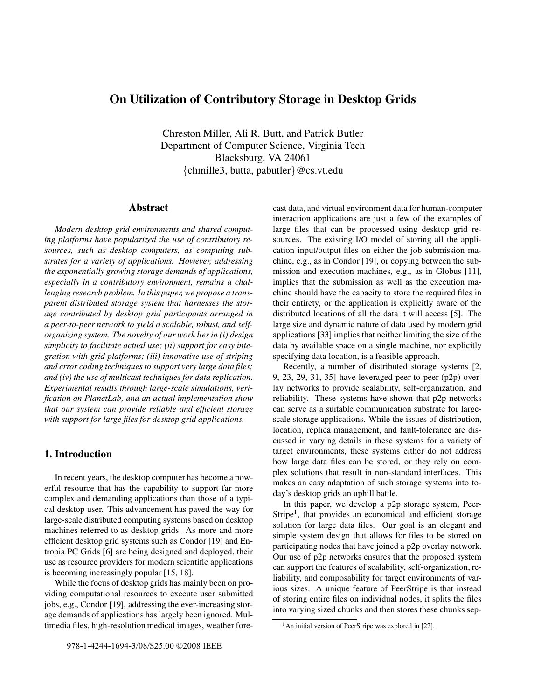# **On Utilization of Contributory Storage in Desktop Grids**

Chreston Miller, Ali R. Butt, and Patrick Butler Department of Computer Science, Virginia Tech Blacksburg, VA 24061 {chmille3, butta, pabutler}@cs.vt.edu

#### **Abstract**

*Modern desktop grid environments and shared computing platforms have popularized the use of contributory resources, such as desktop computers, as computing substrates for a variety of applications. However, addressing the exponentially growing storage demands of applications, especially in a contributory environment, remains a challenging research problem. In this paper, we propose a transparent distributed storage system that harnesses the storage contributed by desktop grid participants arranged in a peer-to-peer network to yield a scalable, robust, and selforganizing system. The novelty of our work lies in (i) design simplicity to facilitate actual use; (ii) support for easy integration with grid platforms; (iii) innovative use of striping and error coding techniques to support very large data files; and (iv) the use of multicast techniques for data replication. Experimental results through large-scale simulations, verification on PlanetLab, and an actual implementation show that our system can provide reliable and efficient storage with support for large files for desktop grid applications.*

## **1. Introduction**

In recent years, the desktop computer has become a powerful resource that has the capability to support far more complex and demanding applications than those of a typical desktop user. This advancement has paved the way for large-scale distributed computing systems based on desktop machines referred to as desktop grids. As more and more efficient desktop grid systems such as Condor [19] and Entropia PC Grids [6] are being designed and deployed, their use as resource providers for modern scientific applications is becoming increasingly popular [15, 18].

While the focus of desktop grids has mainly been on providing computational resources to execute user submitted jobs, e.g., Condor [19], addressing the ever-increasing storage demands of applications has largely been ignored. Multimedia files, high-resolution medical images, weather forecast data, and virtual environment data for human-computer interaction applications are just a few of the examples of large files that can be processed using desktop grid resources. The existing I/O model of storing all the application input/output files on either the job submission machine, e.g., as in Condor [19], or copying between the submission and execution machines, e.g., as in Globus [11], implies that the submission as well as the execution machine should have the capacity to store the required files in their entirety, or the application is explicitly aware of the distributed locations of all the data it will access [5]. The large size and dynamic nature of data used by modern grid applications [33] implies that neither limiting the size of the data by available space on a single machine, nor explicitly specifying data location, is a feasible approach.

Recently, a number of distributed storage systems [2, 9, 23, 29, 31, 35] have leveraged peer-to-peer (p2p) overlay networks to provide scalability, self-organization, and reliability. These systems have shown that p2p networks can serve as a suitable communication substrate for largescale storage applications. While the issues of distribution, location, replica management, and fault-tolerance are discussed in varying details in these systems for a variety of target environments, these systems either do not address how large data files can be stored, or they rely on complex solutions that result in non-standard interfaces. This makes an easy adaptation of such storage systems into today's desktop grids an uphill battle.

In this paper, we develop a p2p storage system, Peer-Stripe<sup>1</sup>, that provides an economical and efficient storage solution for large data files. Our goal is an elegant and simple system design that allows for files to be stored on participating nodes that have joined a p2p overlay network. Our use of p2p networks ensures that the proposed system can support the features of scalability, self-organization, reliability, and composability for target environments of various sizes. A unique feature of PeerStripe is that instead of storing entire files on individual nodes, it splits the files into varying sized chunks and then stores these chunks sep-

 $\overline{1}_{\text{An}}$  initial version of PeerStripe was explored in [22].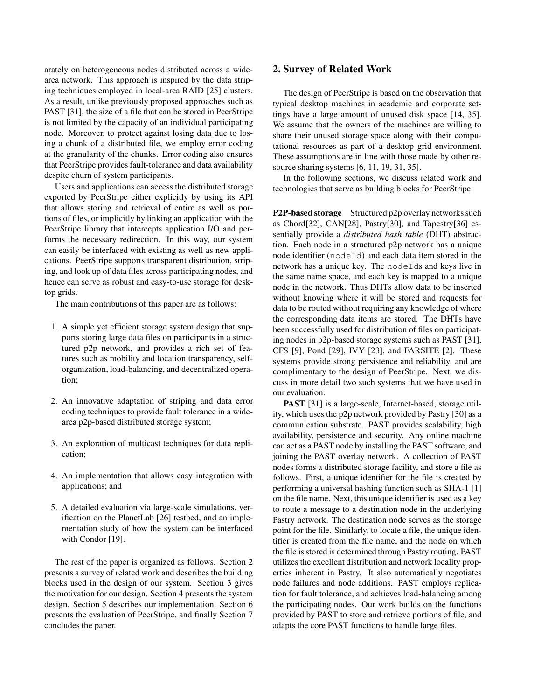arately on heterogeneous nodes distributed across a widearea network. This approach is inspired by the data striping techniques employed in local-area RAID [25] clusters. As a result, unlike previously proposed approaches such as PAST [31], the size of a file that can be stored in PeerStripe is not limited by the capacity of an individual participating node. Moreover, to protect against losing data due to losing a chunk of a distributed file, we employ error coding at the granularity of the chunks. Error coding also ensures that PeerStripe provides fault-tolerance and data availability despite churn of system participants.

Users and applications can access the distributed storage exported by PeerStripe either explicitly by using its API that allows storing and retrieval of entire as well as portions of files, or implicitly by linking an application with the PeerStripe library that intercepts application I/O and performs the necessary redirection. In this way, our system can easily be interfaced with existing as well as new applications. PeerStripe supports transparent distribution, striping, and look up of data files across participating nodes, and hence can serve as robust and easy-to-use storage for desktop grids.

The main contributions of this paper are as follows:

- 1. A simple yet efficient storage system design that supports storing large data files on participants in a structured p2p network, and provides a rich set of features such as mobility and location transparency, selforganization, load-balancing, and decentralized operation;
- 2. An innovative adaptation of striping and data error coding techniques to provide fault tolerance in a widearea p2p-based distributed storage system;
- 3. An exploration of multicast techniques for data replication;
- 4. An implementation that allows easy integration with applications; and
- 5. A detailed evaluation via large-scale simulations, verification on the PlanetLab [26] testbed, and an implementation study of how the system can be interfaced with Condor [19].

The rest of the paper is organized as follows. Section 2 presents a survey of related work and describes the building blocks used in the design of our system. Section 3 gives the motivation for our design. Section 4 presents the system design. Section 5 describes our implementation. Section 6 presents the evaluation of PeerStripe, and finally Section 7 concludes the paper.

### **2. Survey of Related Work**

The design of PeerStripe is based on the observation that typical desktop machines in academic and corporate settings have a large amount of unused disk space [14, 35]. We assume that the owners of the machines are willing to share their unused storage space along with their computational resources as part of a desktop grid environment. These assumptions are in line with those made by other resource sharing systems [6, 11, 19, 31, 35].

In the following sections, we discuss related work and technologies that serve as building blocks for PeerStripe.

**P2P-based storage** Structured p2p overlay networks such as Chord[32], CAN[28], Pastry[30], and Tapestry[36] essentially provide a *distributed hash table* (DHT) abstraction. Each node in a structured p2p network has a unique node identifier (nodeId) and each data item stored in the network has a unique key. The nodeIds and keys live in the same name space, and each key is mapped to a unique node in the network. Thus DHTs allow data to be inserted without knowing where it will be stored and requests for data to be routed without requiring any knowledge of where the corresponding data items are stored. The DHTs have been successfully used for distribution of files on participating nodes in p2p-based storage systems such as PAST [31], CFS [9], Pond [29], IVY [23], and FARSITE [2]. These systems provide strong persistence and reliability, and are complimentary to the design of PeerStripe. Next, we discuss in more detail two such systems that we have used in our evaluation.

**PAST** [31] is a large-scale, Internet-based, storage utility, which uses the p2p network provided by Pastry [30] as a communication substrate. PAST provides scalability, high availability, persistence and security. Any online machine can act as a PAST node by installing the PAST software, and joining the PAST overlay network. A collection of PAST nodes forms a distributed storage facility, and store a file as follows. First, a unique identifier for the file is created by performing a universal hashing function such as SHA-1 [1] on the file name. Next, this unique identifier is used as a key to route a message to a destination node in the underlying Pastry network. The destination node serves as the storage point for the file. Similarly, to locate a file, the unique identifier is created from the file name, and the node on which the file is stored is determined through Pastry routing. PAST utilizes the excellent distribution and network locality properties inherent in Pastry. It also automatically negotiates node failures and node additions. PAST employs replication for fault tolerance, and achieves load-balancing among the participating nodes. Our work builds on the functions provided by PAST to store and retrieve portions of file, and adapts the core PAST functions to handle large files.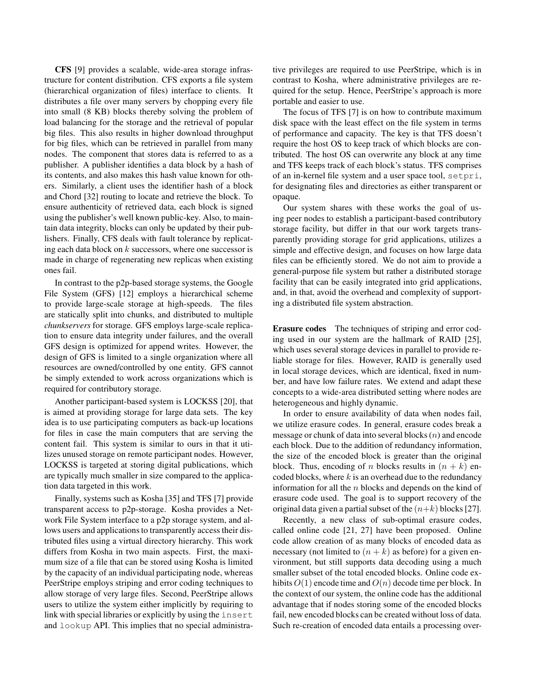**CFS** [9] provides a scalable, wide-area storage infrastructure for content distribution. CFS exports a file system (hierarchical organization of files) interface to clients. It distributes a file over many servers by chopping every file into small (8 KB) blocks thereby solving the problem of load balancing for the storage and the retrieval of popular big files. This also results in higher download throughput for big files, which can be retrieved in parallel from many nodes. The component that stores data is referred to as a publisher. A publisher identifies a data block by a hash of its contents, and also makes this hash value known for others. Similarly, a client uses the identifier hash of a block and Chord [32] routing to locate and retrieve the block. To ensure authenticity of retrieved data, each block is signed using the publisher's well known public-key. Also, to maintain data integrity, blocks can only be updated by their publishers. Finally, CFS deals with fault tolerance by replicating each data block on  $k$  successors, where one successor is made in charge of regenerating new replicas when existing ones fail.

In contrast to the p2p-based storage systems, the Google File System (GFS) [12] employs a hierarchical scheme to provide large-scale storage at high-speeds. The files are statically split into chunks, and distributed to multiple *chunkservers* for storage. GFS employs large-scale replication to ensure data integrity under failures, and the overall GFS design is optimized for append writes. However, the design of GFS is limited to a single organization where all resources are owned/controlled by one entity. GFS cannot be simply extended to work across organizations which is required for contributory storage.

Another participant-based system is LOCKSS [20], that is aimed at providing storage for large data sets. The key idea is to use participating computers as back-up locations for files in case the main computers that are serving the content fail. This system is similar to ours in that it utilizes unused storage on remote participant nodes. However, LOCKSS is targeted at storing digital publications, which are typically much smaller in size compared to the application data targeted in this work.

Finally, systems such as Kosha [35] and TFS [7] provide transparent access to p2p-storage. Kosha provides a Network File System interface to a p2p storage system, and allows users and applications to transparently access their distributed files using a virtual directory hierarchy. This work differs from Kosha in two main aspects. First, the maximum size of a file that can be stored using Kosha is limited by the capacity of an individual participating node, whereas PeerStripe employs striping and error coding techniques to allow storage of very large files. Second, PeerStripe allows users to utilize the system either implicitly by requiring to link with special libraries or explicitly by using the insert and lookup API. This implies that no special administrative privileges are required to use PeerStripe, which is in contrast to Kosha, where administrative privileges are required for the setup. Hence, PeerStripe's approach is more portable and easier to use.

The focus of TFS [7] is on how to contribute maximum disk space with the least effect on the file system in terms of performance and capacity. The key is that TFS doesn't require the host OS to keep track of which blocks are contributed. The host OS can overwrite any block at any time and TFS keeps track of each block's status. TFS comprises of an in-kernel file system and a user space tool, setpri, for designating files and directories as either transparent or opaque.

Our system shares with these works the goal of using peer nodes to establish a participant-based contributory storage facility, but differ in that our work targets transparently providing storage for grid applications, utilizes a simple and effective design, and focuses on how large data files can be efficiently stored. We do not aim to provide a general-purpose file system but rather a distributed storage facility that can be easily integrated into grid applications, and, in that, avoid the overhead and complexity of supporting a distributed file system abstraction.

**Erasure codes** The techniques of striping and error coding used in our system are the hallmark of RAID [25], which uses several storage devices in parallel to provide reliable storage for files. However, RAID is generally used in local storage devices, which are identical, fixed in number, and have low failure rates. We extend and adapt these concepts to a wide-area distributed setting where nodes are heterogeneous and highly dynamic.

In order to ensure availability of data when nodes fail, we utilize erasure codes. In general, erasure codes break a message or chunk of data into several blocks  $(n)$  and encode each block. Due to the addition of redundancy information, the size of the encoded block is greater than the original block. Thus, encoding of n blocks results in  $(n + k)$  encoded blocks, where  $k$  is an overhead due to the redundancy information for all the  $n$  blocks and depends on the kind of erasure code used. The goal is to support recovery of the original data given a partial subset of the  $(n+k)$  blocks [27].

Recently, a new class of sub-optimal erasure codes, called online code [21, 27] have been proposed. Online code allow creation of as many blocks of encoded data as necessary (not limited to  $(n + k)$  as before) for a given environment, but still supports data decoding using a much smaller subset of the total encoded blocks. Online code exhibits  $O(1)$  encode time and  $O(n)$  decode time per block. In the context of our system, the online code has the additional advantage that if nodes storing some of the encoded blocks fail, new encoded blocks can be created without loss of data. Such re-creation of encoded data entails a processing over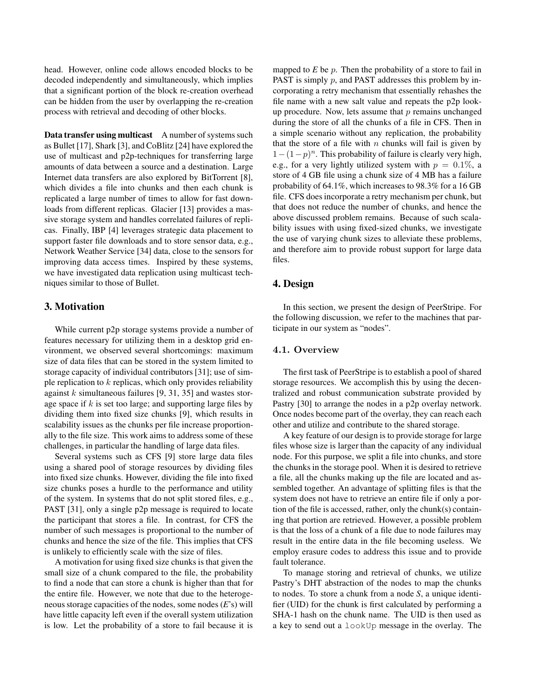head. However, online code allows encoded blocks to be decoded independently and simultaneously, which implies that a significant portion of the block re-creation overhead can be hidden from the user by overlapping the re-creation process with retrieval and decoding of other blocks.

**Data transfer using multicast** A number of systems such as Bullet [17], Shark [3], and CoBlitz [24] have explored the use of multicast and p2p-techniques for transferring large amounts of data between a source and a destination. Large Internet data transfers are also explored by BitTorrent [8], which divides a file into chunks and then each chunk is replicated a large number of times to allow for fast downloads from different replicas. Glacier [13] provides a massive storage system and handles correlated failures of replicas. Finally, IBP [4] leverages strategic data placement to support faster file downloads and to store sensor data, e.g., Network Weather Service [34] data, close to the sensors for improving data access times. Inspired by these systems, we have investigated data replication using multicast techniques similar to those of Bullet.

#### **3. Motivation**

While current p2p storage systems provide a number of features necessary for utilizing them in a desktop grid environment, we observed several shortcomings: maximum size of data files that can be stored in the system limited to storage capacity of individual contributors [31]; use of simple replication to  $k$  replicas, which only provides reliability against  $k$  simultaneous failures [9, 31, 35] and wastes storage space if  $k$  is set too large; and supporting large files by dividing them into fixed size chunks [9], which results in scalability issues as the chunks per file increase proportionally to the file size. This work aims to address some of these challenges, in particular the handling of large data files.

Several systems such as CFS [9] store large data files using a shared pool of storage resources by dividing files into fixed size chunks. However, dividing the file into fixed size chunks poses a hurdle to the performance and utility of the system. In systems that do not split stored files, e.g., PAST [31], only a single p2p message is required to locate the participant that stores a file. In contrast, for CFS the number of such messages is proportional to the number of chunks and hence the size of the file. This implies that CFS is unlikely to efficiently scale with the size of files.

A motivation for using fixed size chunks is that given the small size of a chunk compared to the file, the probability to find a node that can store a chunk is higher than that for the entire file. However, we note that due to the heterogeneous storage capacities of the nodes, some nodes (*E*'s) will have little capacity left even if the overall system utilization is low. Let the probability of a store to fail because it is mapped to *E* be *p*. Then the probability of a store to fail in PAST is simply p, and PAST addresses this problem by incorporating a retry mechanism that essentially rehashes the file name with a new salt value and repeats the p2p lookup procedure. Now, lets assume that  $p$  remains unchanged during the store of all the chunks of a file in CFS. Then in a simple scenario without any replication, the probability that the store of a file with n chunks will fail is given by  $1-(1-p)^n$ . This probability of failure is clearly very high, e.g., for a very lightly utilized system with  $p = 0.1\%$ , a store of 4 GB file using a chunk size of 4 MB has a failure probability of 64.1%, which increases to 98.3% for a 16 GB file. CFS does incorporate a retry mechanism per chunk, but that does not reduce the number of chunks, and hence the above discussed problem remains. Because of such scalability issues with using fixed-sized chunks, we investigate the use of varying chunk sizes to alleviate these problems, and therefore aim to provide robust support for large data files.

#### **4. Design**

In this section, we present the design of PeerStripe. For the following discussion, we refer to the machines that participate in our system as "nodes".

#### 4.1. Overview

The first task of PeerStripe is to establish a pool of shared storage resources. We accomplish this by using the decentralized and robust communication substrate provided by Pastry [30] to arrange the nodes in a p2p overlay network. Once nodes become part of the overlay, they can reach each other and utilize and contribute to the shared storage.

A key feature of our design is to provide storage for large files whose size is larger than the capacity of any individual node. For this purpose, we split a file into chunks, and store the chunks in the storage pool. When it is desired to retrieve a file, all the chunks making up the file are located and assembled together. An advantage of splitting files is that the system does not have to retrieve an entire file if only a portion of the file is accessed, rather, only the chunk(s) containing that portion are retrieved. However, a possible problem is that the loss of a chunk of a file due to node failures may result in the entire data in the file becoming useless. We employ erasure codes to address this issue and to provide fault tolerance.

To manage storing and retrieval of chunks, we utilize Pastry's DHT abstraction of the nodes to map the chunks to nodes. To store a chunk from a node *S*, a unique identifier (UID) for the chunk is first calculated by performing a SHA-1 hash on the chunk name. The UID is then used as a key to send out a lookUp message in the overlay. The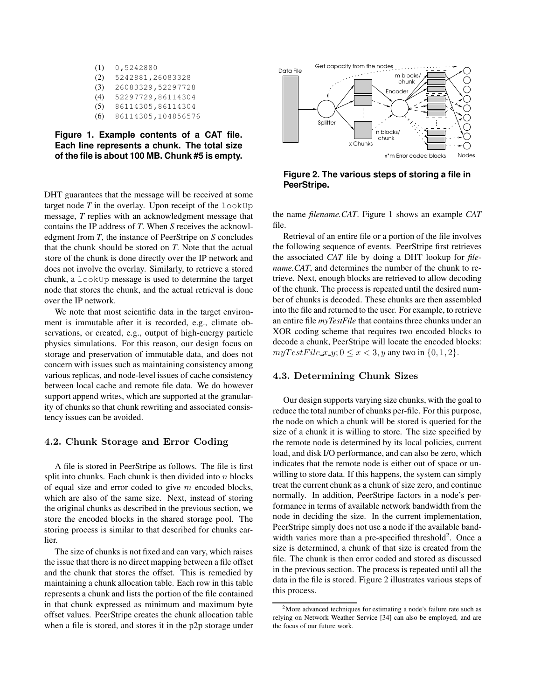| (1) | 0,5242880          |
|-----|--------------------|
| (2) | 5242881,26083328   |
| (3) | 26083329,52297728  |
| (4) | 52297729,86114304  |
| (5) | 86114305,86114304  |
| (6) | 86114305,104856576 |

**Figure 1. Example contents of a CAT file. Each line represents a chunk. The total size of the file is about 100 MB. Chunk #5 is empty.**

DHT guarantees that the message will be received at some target node  $T$  in the overlay. Upon receipt of the  $l$ ookUp message, *T* replies with an acknowledgment message that contains the IP address of *T*. When *S* receives the acknowledgment from *T*, the instance of PeerStripe on *S* concludes that the chunk should be stored on *T*. Note that the actual store of the chunk is done directly over the IP network and does not involve the overlay. Similarly, to retrieve a stored chunk, a lookUp message is used to determine the target node that stores the chunk, and the actual retrieval is done over the IP network.

We note that most scientific data in the target environment is immutable after it is recorded, e.g., climate observations, or created, e.g., output of high-energy particle physics simulations. For this reason, our design focus on storage and preservation of immutable data, and does not concern with issues such as maintaining consistency among various replicas, and node-level issues of cache consistency between local cache and remote file data. We do however support append writes, which are supported at the granularity of chunks so that chunk rewriting and associated consistency issues can be avoided.

### 4.2. Chunk Storage and Error Coding

A file is stored in PeerStripe as follows. The file is first split into chunks. Each chunk is then divided into  $n$  blocks of equal size and error coded to give  $m$  encoded blocks, which are also of the same size. Next, instead of storing the original chunks as described in the previous section, we store the encoded blocks in the shared storage pool. The storing process is similar to that described for chunks earlier.

The size of chunks is not fixed and can vary, which raises the issue that there is no direct mapping between a file offset and the chunk that stores the offset. This is remedied by maintaining a chunk allocation table. Each row in this table represents a chunk and lists the portion of the file contained in that chunk expressed as minimum and maximum byte offset values. PeerStripe creates the chunk allocation table when a file is stored, and stores it in the p2p storage under



**Figure 2. The various steps of storing a file in PeerStripe.**

the name *filename.CAT*. Figure 1 shows an example *CAT* file.

Retrieval of an entire file or a portion of the file involves the following sequence of events. PeerStripe first retrieves the associated *CAT* file by doing a DHT lookup for *filename.CAT*, and determines the number of the chunk to retrieve. Next, enough blocks are retrieved to allow decoding of the chunk. The process is repeated until the desired number of chunks is decoded. These chunks are then assembled into the file and returned to the user. For example, to retrieve an entire file *myTestFile* that contains three chunks under an XOR coding scheme that requires two encoded blocks to decode a chunk, PeerStripe will locate the encoded blocks:  $myTestFile\_x$ ,  $y; 0 \leq x < 3, y$  any two in  $\{0, 1, 2\}.$ 

#### 4.3. Determining Chunk Sizes

Our design supports varying size chunks, with the goal to reduce the total number of chunks per-file. For this purpose, the node on which a chunk will be stored is queried for the size of a chunk it is willing to store. The size specified by the remote node is determined by its local policies, current load, and disk I/O performance, and can also be zero, which indicates that the remote node is either out of space or unwilling to store data. If this happens, the system can simply treat the current chunk as a chunk of size zero, and continue normally. In addition, PeerStripe factors in a node's performance in terms of available network bandwidth from the node in deciding the size. In the current implementation, PeerStripe simply does not use a node if the available bandwidth varies more than a pre-specified threshold<sup>2</sup>. Once a size is determined, a chunk of that size is created from the file. The chunk is then error coded and stored as discussed in the previous section. The process is repeated until all the data in the file is stored. Figure 2 illustrates various steps of this process.

<sup>2</sup>More advanced techniques for estimating a node's failure rate such as relying on Network Weather Service [34] can also be employed, and are the focus of our future work.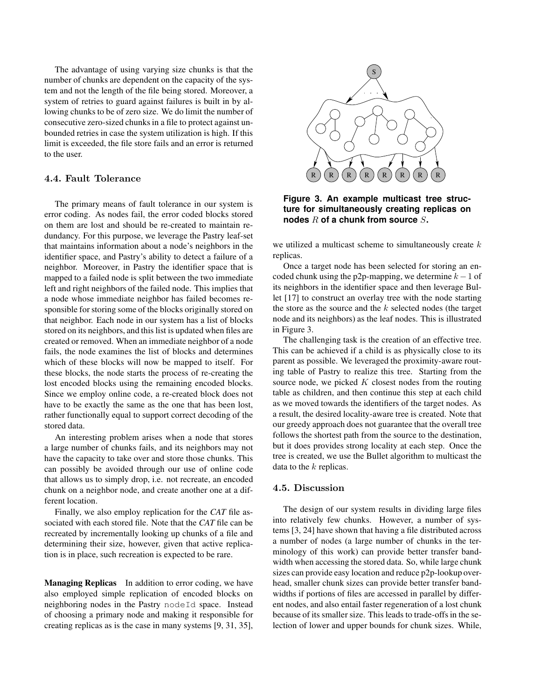The advantage of using varying size chunks is that the number of chunks are dependent on the capacity of the system and not the length of the file being stored. Moreover, a system of retries to guard against failures is built in by allowing chunks to be of zero size. We do limit the number of consecutive zero-sized chunks in a file to protect against unbounded retries in case the system utilization is high. If this limit is exceeded, the file store fails and an error is returned to the user.

#### 4.4. Fault Tolerance

The primary means of fault tolerance in our system is error coding. As nodes fail, the error coded blocks stored on them are lost and should be re-created to maintain redundancy. For this purpose, we leverage the Pastry leaf-set that maintains information about a node's neighbors in the identifier space, and Pastry's ability to detect a failure of a neighbor. Moreover, in Pastry the identifier space that is mapped to a failed node is split between the two immediate left and right neighbors of the failed node. This implies that a node whose immediate neighbor has failed becomes responsible for storing some of the blocks originally stored on that neighbor. Each node in our system has a list of blocks stored on its neighbors, and this list is updated when files are created or removed. When an immediate neighbor of a node fails, the node examines the list of blocks and determines which of these blocks will now be mapped to itself. For these blocks, the node starts the process of re-creating the lost encoded blocks using the remaining encoded blocks. Since we employ online code, a re-created block does not have to be exactly the same as the one that has been lost, rather functionally equal to support correct decoding of the stored data.

An interesting problem arises when a node that stores a large number of chunks fails, and its neighbors may not have the capacity to take over and store those chunks. This can possibly be avoided through our use of online code that allows us to simply drop, i.e. not recreate, an encoded chunk on a neighbor node, and create another one at a different location.

Finally, we also employ replication for the *CAT* file associated with each stored file. Note that the *CAT* file can be recreated by incrementally looking up chunks of a file and determining their size, however, given that active replication is in place, such recreation is expected to be rare.

**Managing Replicas** In addition to error coding, we have also employed simple replication of encoded blocks on neighboring nodes in the Pastry nodeId space. Instead of choosing a primary node and making it responsible for creating replicas as is the case in many systems [9, 31, 35],



**Figure 3. An example multicast tree structure for simultaneously creating replicas on nodes** R **of a chunk from source** S**.**

we utilized a multicast scheme to simultaneously create  $k$ replicas.

Once a target node has been selected for storing an encoded chunk using the p2p-mapping, we determine  $k - 1$  of its neighbors in the identifier space and then leverage Bullet [17] to construct an overlay tree with the node starting the store as the source and the  $k$  selected nodes (the target node and its neighbors) as the leaf nodes. This is illustrated in Figure 3.

The challenging task is the creation of an effective tree. This can be achieved if a child is as physically close to its parent as possible. We leveraged the proximity-aware routing table of Pastry to realize this tree. Starting from the source node, we picked  $K$  closest nodes from the routing table as children, and then continue this step at each child as we moved towards the identifiers of the target nodes. As a result, the desired locality-aware tree is created. Note that our greedy approach does not guarantee that the overall tree follows the shortest path from the source to the destination, but it does provides strong locality at each step. Once the tree is created, we use the Bullet algorithm to multicast the data to the  $k$  replicas.

### 4.5. Discussion

The design of our system results in dividing large files into relatively few chunks. However, a number of systems [3, 24] have shown that having a file distributed across a number of nodes (a large number of chunks in the terminology of this work) can provide better transfer bandwidth when accessing the stored data. So, while large chunk sizes can provide easy location and reduce p2p-lookup overhead, smaller chunk sizes can provide better transfer bandwidths if portions of files are accessed in parallel by different nodes, and also entail faster regeneration of a lost chunk because of its smaller size. This leads to trade-offs in the selection of lower and upper bounds for chunk sizes. While,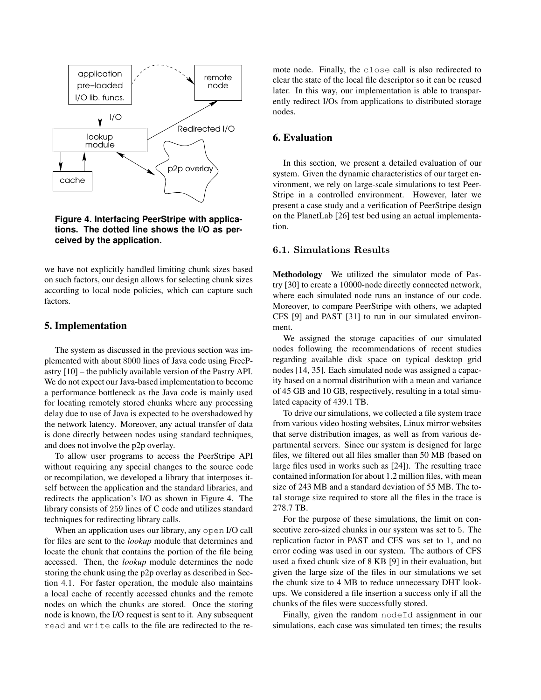

**Figure 4. Interfacing PeerStripe with applications. The dotted line shows the I/O as perceived by the application.**

we have not explicitly handled limiting chunk sizes based on such factors, our design allows for selecting chunk sizes according to local node policies, which can capture such factors.

### **5. Implementation**

The system as discussed in the previous section was implemented with about 8000 lines of Java code using FreePastry [10] – the publicly available version of the Pastry API. We do not expect our Java-based implementation to become a performance bottleneck as the Java code is mainly used for locating remotely stored chunks where any processing delay due to use of Java is expected to be overshadowed by the network latency. Moreover, any actual transfer of data is done directly between nodes using standard techniques, and does not involve the p2p overlay.

To allow user programs to access the PeerStripe API without requiring any special changes to the source code or recompilation, we developed a library that interposes itself between the application and the standard libraries, and redirects the application's I/O as shown in Figure 4. The library consists of 259 lines of C code and utilizes standard techniques for redirecting library calls.

When an application uses our library, any open I/O call for files are sent to the *lookup* module that determines and locate the chunk that contains the portion of the file being accessed. Then, the *lookup* module determines the node storing the chunk using the p2p overlay as described in Section 4.1. For faster operation, the module also maintains a local cache of recently accessed chunks and the remote nodes on which the chunks are stored. Once the storing node is known, the I/O request is sent to it. Any subsequent read and write calls to the file are redirected to the remote node. Finally, the close call is also redirected to clear the state of the local file descriptor so it can be reused later. In this way, our implementation is able to transparently redirect I/Os from applications to distributed storage nodes.

### **6. Evaluation**

In this section, we present a detailed evaluation of our system. Given the dynamic characteristics of our target environment, we rely on large-scale simulations to test Peer-Stripe in a controlled environment. However, later we present a case study and a verification of PeerStripe design on the PlanetLab [26] test bed using an actual implementation.

### 6.1. Simulations Results

**Methodology** We utilized the simulator mode of Pastry [30] to create a 10000-node directly connected network, where each simulated node runs an instance of our code. Moreover, to compare PeerStripe with others, we adapted CFS [9] and PAST [31] to run in our simulated environment.

We assigned the storage capacities of our simulated nodes following the recommendations of recent studies regarding available disk space on typical desktop grid nodes [14, 35]. Each simulated node was assigned a capacity based on a normal distribution with a mean and variance of 45 GB and 10 GB, respectively, resulting in a total simulated capacity of 439.1 TB.

To drive our simulations, we collected a file system trace from various video hosting websites, Linux mirror websites that serve distribution images, as well as from various departmental servers. Since our system is designed for large files, we filtered out all files smaller than 50 MB (based on large files used in works such as [24]). The resulting trace contained information for about 1.2 million files, with mean size of 243 MB and a standard deviation of 55 MB. The total storage size required to store all the files in the trace is 278.7 TB.

For the purpose of these simulations, the limit on consecutive zero-sized chunks in our system was set to 5. The replication factor in PAST and CFS was set to 1, and no error coding was used in our system. The authors of CFS used a fixed chunk size of 8 KB [9] in their evaluation, but given the large size of the files in our simulations we set the chunk size to 4 MB to reduce unnecessary DHT lookups. We considered a file insertion a success only if all the chunks of the files were successfully stored.

Finally, given the random nodeId assignment in our simulations, each case was simulated ten times; the results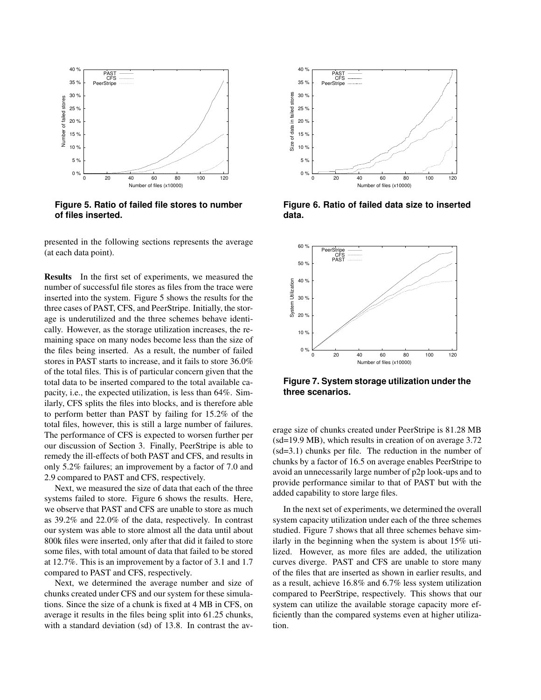

**Figure 5. Ratio of failed file stores to number of files inserted.**

presented in the following sections represents the average (at each data point).

**Results** In the first set of experiments, we measured the number of successful file stores as files from the trace were inserted into the system. Figure 5 shows the results for the three cases of PAST, CFS, and PeerStripe. Initially, the storage is underutilized and the three schemes behave identically. However, as the storage utilization increases, the remaining space on many nodes become less than the size of the files being inserted. As a result, the number of failed stores in PAST starts to increase, and it fails to store 36.0% of the total files. This is of particular concern given that the total data to be inserted compared to the total available capacity, i.e., the expected utilization, is less than 64%. Similarly, CFS splits the files into blocks, and is therefore able to perform better than PAST by failing for 15.2% of the total files, however, this is still a large number of failures. The performance of CFS is expected to worsen further per our discussion of Section 3. Finally, PeerStripe is able to remedy the ill-effects of both PAST and CFS, and results in only 5.2% failures; an improvement by a factor of 7.0 and 2.9 compared to PAST and CFS, respectively.

Next, we measured the size of data that each of the three systems failed to store. Figure 6 shows the results. Here, we observe that PAST and CFS are unable to store as much as 39.2% and 22.0% of the data, respectively. In contrast our system was able to store almost all the data until about 800k files were inserted, only after that did it failed to store some files, with total amount of data that failed to be stored at 12.7%. This is an improvement by a factor of 3.1 and 1.7 compared to PAST and CFS, respectively.

Next, we determined the average number and size of chunks created under CFS and our system for these simulations. Since the size of a chunk is fixed at 4 MB in CFS, on average it results in the files being split into 61.25 chunks, with a standard deviation (sd) of 13.8. In contrast the av-



**Figure 6. Ratio of failed data size to inserted data.**



**Figure 7. System storage utilization under the three scenarios.**

erage size of chunks created under PeerStripe is 81.28 MB (sd=19.9 MB), which results in creation of on average 3.72 (sd=3.1) chunks per file. The reduction in the number of chunks by a factor of 16.5 on average enables PeerStripe to avoid an unnecessarily large number of p2p look-ups and to provide performance similar to that of PAST but with the added capability to store large files.

In the next set of experiments, we determined the overall system capacity utilization under each of the three schemes studied. Figure 7 shows that all three schemes behave similarly in the beginning when the system is about 15% utilized. However, as more files are added, the utilization curves diverge. PAST and CFS are unable to store many of the files that are inserted as shown in earlier results, and as a result, achieve 16.8% and 6.7% less system utilization compared to PeerStripe, respectively. This shows that our system can utilize the available storage capacity more efficiently than the compared systems even at higher utilization.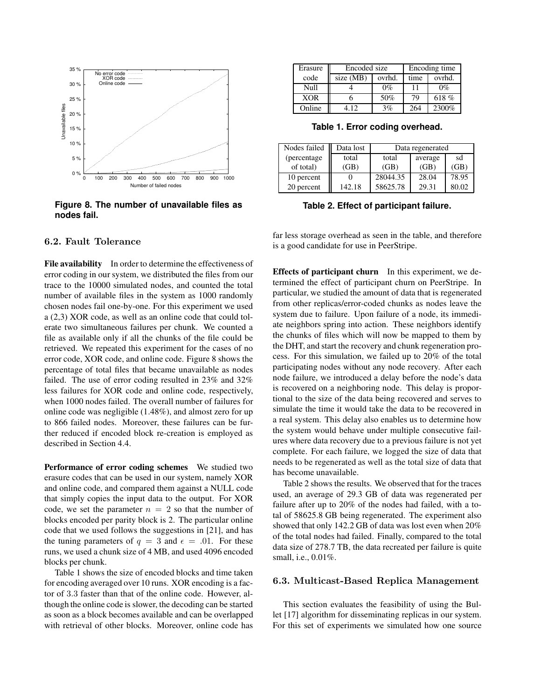

**Figure 8. The number of unavailable files as nodes fail.**

#### 6.2. Fault Tolerance

**File availability** In order to determine the effectiveness of error coding in our system, we distributed the files from our trace to the 10000 simulated nodes, and counted the total number of available files in the system as 1000 randomly chosen nodes fail one-by-one. For this experiment we used a (2,3) XOR code, as well as an online code that could tolerate two simultaneous failures per chunk. We counted a file as available only if all the chunks of the file could be retrieved. We repeated this experiment for the cases of no error code, XOR code, and online code. Figure 8 shows the percentage of total files that became unavailable as nodes failed. The use of error coding resulted in 23% and 32% less failures for XOR code and online code, respectively, when 1000 nodes failed. The overall number of failures for online code was negligible (1.48%), and almost zero for up to 866 failed nodes. Moreover, these failures can be further reduced if encoded block re-creation is employed as described in Section 4.4.

**Performance of error coding schemes** We studied two erasure codes that can be used in our system, namely XOR and online code, and compared them against a NULL code that simply copies the input data to the output. For XOR code, we set the parameter  $n = 2$  so that the number of blocks encoded per parity block is 2. The particular online code that we used follows the suggestions in [21], and has the tuning parameters of  $q = 3$  and  $\epsilon = .01$ . For these runs, we used a chunk size of 4 MB, and used 4096 encoded blocks per chunk.

Table 1 shows the size of encoded blocks and time taken for encoding averaged over 10 runs. XOR encoding is a factor of 3.3 faster than that of the online code. However, although the online code is slower, the decoding can be started as soon as a block becomes available and can be overlapped with retrieval of other blocks. Moreover, online code has

| Erasure    | Encoded size |        |      | Encoding time |
|------------|--------------|--------|------|---------------|
| code       | size $(MB)$  | ovrhd. | time | ovrhd.        |
| Null       |              | $0\%$  | 11   | $0\%$         |
| <b>XOR</b> |              | 50%    | 79   | 618 $%$       |
| Online     | 112          | 3%     | 264  | 2300\%        |

**Table 1. Error coding overhead.**

| Nodes failed | Data lost | Data regenerated |         |       |
|--------------|-----------|------------------|---------|-------|
| (percentage) | total     | total            | average | sd    |
| of total)    | (GB)      | (GB)             | (GB)    | (GB)  |
| 10 percent   |           | 28044.35         | 28.04   | 78.95 |
| 20 percent   | 142.18    | 58625.78         | 29.31   | 80.02 |

**Table 2. Effect of participant failure.**

far less storage overhead as seen in the table, and therefore is a good candidate for use in PeerStripe.

**Effects of participant churn** In this experiment, we determined the effect of participant churn on PeerStripe. In particular, we studied the amount of data that is regenerated from other replicas/error-coded chunks as nodes leave the system due to failure. Upon failure of a node, its immediate neighbors spring into action. These neighbors identify the chunks of files which will now be mapped to them by the DHT, and start the recovery and chunk regeneration process. For this simulation, we failed up to 20% of the total participating nodes without any node recovery. After each node failure, we introduced a delay before the node's data is recovered on a neighboring node. This delay is proportional to the size of the data being recovered and serves to simulate the time it would take the data to be recovered in a real system. This delay also enables us to determine how the system would behave under multiple consecutive failures where data recovery due to a previous failure is not yet complete. For each failure, we logged the size of data that needs to be regenerated as well as the total size of data that has become unavailable.

Table 2 shows the results. We observed that for the traces used, an average of 29.3 GB of data was regenerated per failure after up to 20% of the nodes had failed, with a total of 58625.8 GB being regenerated. The experiment also showed that only 142.2 GB of data was lost even when 20% of the total nodes had failed. Finally, compared to the total data size of 278.7 TB, the data recreated per failure is quite small, i.e., 0.01%.

#### 6.3. Multicast-Based Replica Management

This section evaluates the feasibility of using the Bullet [17] algorithm for disseminating replicas in our system. For this set of experiments we simulated how one source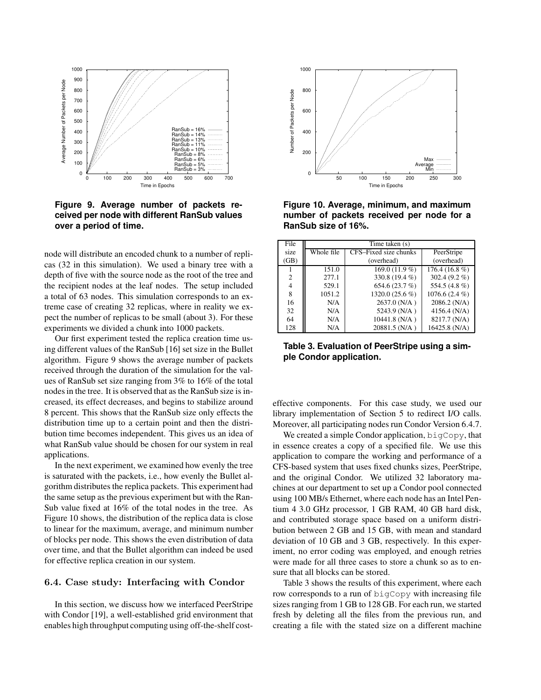

**Figure 9. Average number of packets received per node with different RanSub values over a period of time.**

node will distribute an encoded chunk to a number of replicas (32 in this simulation). We used a binary tree with a depth of five with the source node as the root of the tree and the recipient nodes at the leaf nodes. The setup included a total of 63 nodes. This simulation corresponds to an extreme case of creating 32 replicas, where in reality we expect the number of replicas to be small (about 3). For these experiments we divided a chunk into 1000 packets.

Our first experiment tested the replica creation time using different values of the RanSub [16] set size in the Bullet algorithm. Figure 9 shows the average number of packets received through the duration of the simulation for the values of RanSub set size ranging from 3% to 16% of the total nodes in the tree. It is observed that as the RanSub size is increased, its effect decreases, and begins to stabilize around 8 percent. This shows that the RanSub size only effects the distribution time up to a certain point and then the distribution time becomes independent. This gives us an idea of what RanSub value should be chosen for our system in real applications.

In the next experiment, we examined how evenly the tree is saturated with the packets, i.e., how evenly the Bullet algorithm distributes the replica packets. This experiment had the same setup as the previous experiment but with the Ran-Sub value fixed at 16% of the total nodes in the tree. As Figure 10 shows, the distribution of the replica data is close to linear for the maximum, average, and minimum number of blocks per node. This shows the even distribution of data over time, and that the Bullet algorithm can indeed be used for effective replica creation in our system.

#### 6.4. Case study: Interfacing with Condor

In this section, we discuss how we interfaced PeerStripe with Condor [19], a well-established grid environment that enables high throughput computing using off-the-shelf cost-



**Figure 10. Average, minimum, and maximum number of packets received per node for a RanSub size of 16%.**

| File           | Time taken (s) |                       |                |  |  |
|----------------|----------------|-----------------------|----------------|--|--|
| size           | Whole file     | CFS-Fixed size chunks | PeerStripe     |  |  |
| (GB)           |                | (overhead)            | (overhead)     |  |  |
|                | 151.0          | 169.0 (11.9 %)        | 176.4 (16.8 %) |  |  |
| $\overline{c}$ | 277.1          | 330.8 (19.4 %)        | 302.4 (9.2 %)  |  |  |
| 4              | 529.1          | 654.6 (23.7 %)        | 554.5 (4.8 %)  |  |  |
| 8              | 1051.2         | 1320.0 (25.6 %)       | 1076.6 (2.4 %) |  |  |
| 16             | N/A            | 2637.0 (N/A)          | $2086.2$ (N/A) |  |  |
| 32             | N/A            | 5243.9 (N/A)          | 4156.4 (N/A)   |  |  |
| 64             | N/A            | 10441.8 (N/A)         | 8217.7 (N/A)   |  |  |
| 128            | N/A            | 20881.5 (N/A)         | 16425.8 (N/A)  |  |  |

**Table 3. Evaluation of PeerStripe using a simple Condor application.**

effective components. For this case study, we used our library implementation of Section 5 to redirect I/O calls. Moreover, all participating nodes run Condor Version 6.4.7.

We created a simple Condor application, bigCopy, that in essence creates a copy of a specified file. We use this application to compare the working and performance of a CFS-based system that uses fixed chunks sizes, PeerStripe, and the original Condor. We utilized 32 laboratory machines at our department to set up a Condor pool connected using 100 MB/s Ethernet, where each node has an Intel Pentium 4 3.0 GHz processor, 1 GB RAM, 40 GB hard disk, and contributed storage space based on a uniform distribution between 2 GB and 15 GB, with mean and standard deviation of 10 GB and 3 GB, respectively. In this experiment, no error coding was employed, and enough retries were made for all three cases to store a chunk so as to ensure that all blocks can be stored.

Table 3 shows the results of this experiment, where each row corresponds to a run of bigCopy with increasing file sizes ranging from 1 GB to 128 GB. For each run, we started fresh by deleting all the files from the previous run, and creating a file with the stated size on a different machine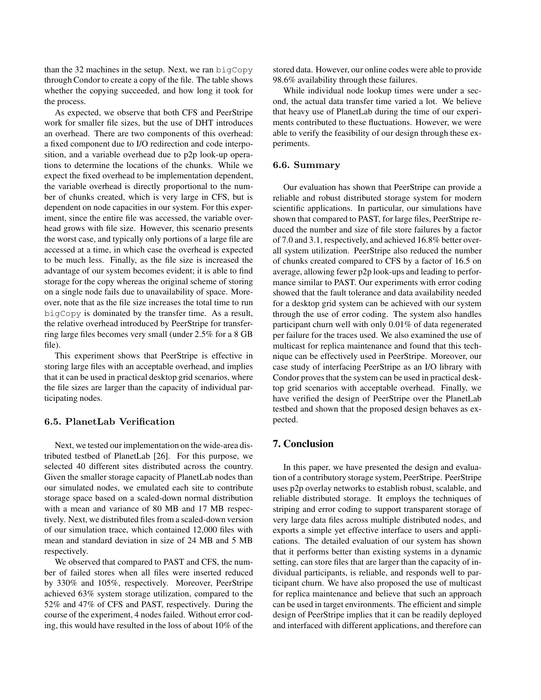than the 32 machines in the setup. Next, we ran bigCopy through Condor to create a copy of the file. The table shows whether the copying succeeded, and how long it took for the process.

As expected, we observe that both CFS and PeerStripe work for smaller file sizes, but the use of DHT introduces an overhead. There are two components of this overhead: a fixed component due to I/O redirection and code interposition, and a variable overhead due to p2p look-up operations to determine the locations of the chunks. While we expect the fixed overhead to be implementation dependent, the variable overhead is directly proportional to the number of chunks created, which is very large in CFS, but is dependent on node capacities in our system. For this experiment, since the entire file was accessed, the variable overhead grows with file size. However, this scenario presents the worst case, and typically only portions of a large file are accessed at a time, in which case the overhead is expected to be much less. Finally, as the file size is increased the advantage of our system becomes evident; it is able to find storage for the copy whereas the original scheme of storing on a single node fails due to unavailability of space. Moreover, note that as the file size increases the total time to run bigCopy is dominated by the transfer time. As a result, the relative overhead introduced by PeerStripe for transferring large files becomes very small (under 2.5% for a 8 GB file).

This experiment shows that PeerStripe is effective in storing large files with an acceptable overhead, and implies that it can be used in practical desktop grid scenarios, where the file sizes are larger than the capacity of individual participating nodes.

### 6.5. PlanetLab Verification

Next, we tested our implementation on the wide-area distributed testbed of PlanetLab [26]. For this purpose, we selected 40 different sites distributed across the country. Given the smaller storage capacity of PlanetLab nodes than our simulated nodes, we emulated each site to contribute storage space based on a scaled-down normal distribution with a mean and variance of 80 MB and 17 MB respectively. Next, we distributed files from a scaled-down version of our simulation trace, which contained 12,000 files with mean and standard deviation in size of 24 MB and 5 MB respectively.

We observed that compared to PAST and CFS, the number of failed stores when all files were inserted reduced by 330% and 105%, respectively. Moreover, PeerStripe achieved 63% system storage utilization, compared to the 52% and 47% of CFS and PAST, respectively. During the course of the experiment, 4 nodes failed. Without error coding, this would have resulted in the loss of about 10% of the stored data. However, our online codes were able to provide 98.6% availability through these failures.

While individual node lookup times were under a second, the actual data transfer time varied a lot. We believe that heavy use of PlanetLab during the time of our experiments contributed to these fluctuations. However, we were able to verify the feasibility of our design through these experiments.

#### 6.6. Summary

Our evaluation has shown that PeerStripe can provide a reliable and robust distributed storage system for modern scientific applications. In particular, our simulations have shown that compared to PAST, for large files, PeerStripe reduced the number and size of file store failures by a factor of 7.0 and 3.1, respectively, and achieved 16.8% better overall system utilization. PeerStripe also reduced the number of chunks created compared to CFS by a factor of 16.5 on average, allowing fewer p2p look-ups and leading to performance similar to PAST. Our experiments with error coding showed that the fault tolerance and data availability needed for a desktop grid system can be achieved with our system through the use of error coding. The system also handles participant churn well with only 0.01% of data regenerated per failure for the traces used. We also examined the use of multicast for replica maintenance and found that this technique can be effectively used in PeerStripe. Moreover, our case study of interfacing PeerStripe as an I/O library with Condor proves that the system can be used in practical desktop grid scenarios with acceptable overhead. Finally, we have verified the design of PeerStripe over the PlanetLab testbed and shown that the proposed design behaves as expected.

### **7. Conclusion**

In this paper, we have presented the design and evaluation of a contributory storage system, PeerStripe. PeerStripe uses p2p overlay networks to establish robust, scalable, and reliable distributed storage. It employs the techniques of striping and error coding to support transparent storage of very large data files across multiple distributed nodes, and exports a simple yet effective interface to users and applications. The detailed evaluation of our system has shown that it performs better than existing systems in a dynamic setting, can store files that are larger than the capacity of individual participants, is reliable, and responds well to participant churn. We have also proposed the use of multicast for replica maintenance and believe that such an approach can be used in target environments. The efficient and simple design of PeerStripe implies that it can be readily deployed and interfaced with different applications, and therefore can